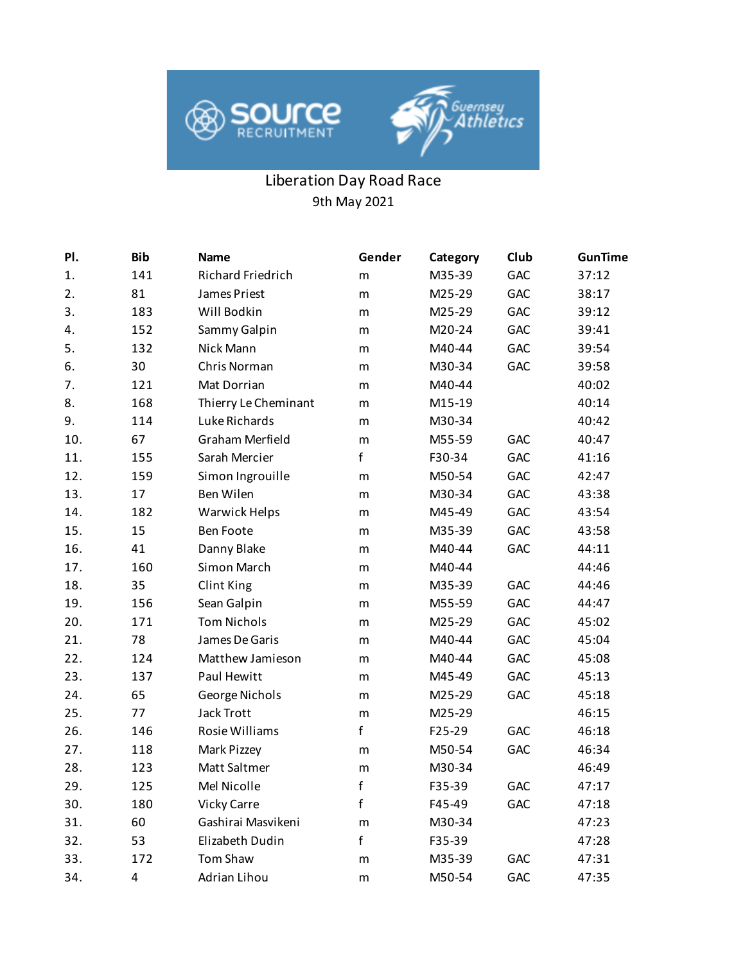



## Liberation Day Road Race 9th May 2021

| PI. | <b>Bib</b> | <b>Name</b>           | Gender       | Category | Club       | <b>GunTime</b> |
|-----|------------|-----------------------|--------------|----------|------------|----------------|
| 1.  | 141        | Richard Friedrich     | m            | M35-39   | GAC        | 37:12          |
| 2.  | 81         | James Priest          | m            | M25-29   | <b>GAC</b> | 38:17          |
| 3.  | 183        | Will Bodkin           | m            | M25-29   | GAC        | 39:12          |
| 4.  | 152        | Sammy Galpin          | m            | M20-24   | <b>GAC</b> | 39:41          |
| 5.  | 132        | Nick Mann             | m            | M40-44   | <b>GAC</b> | 39:54          |
| 6.  | 30         | Chris Norman          | m            | M30-34   | <b>GAC</b> | 39:58          |
| 7.  | 121        | Mat Dorrian           | m            | M40-44   |            | 40:02          |
| 8.  | 168        | Thierry Le Cheminant  | m            | M15-19   |            | 40:14          |
| 9.  | 114        | Luke Richards         | m            | M30-34   |            | 40:42          |
| 10. | 67         | Graham Merfield       | m            | M55-59   | <b>GAC</b> | 40:47          |
| 11. | 155        | Sarah Mercier         | f            | F30-34   | <b>GAC</b> | 41:16          |
| 12. | 159        | Simon Ingrouille      | m            | M50-54   | <b>GAC</b> | 42:47          |
| 13. | 17         | Ben Wilen             | m            | M30-34   | <b>GAC</b> | 43:38          |
| 14. | 182        | Warwick Helps         | m            | M45-49   | GAC        | 43:54          |
| 15. | 15         | <b>Ben Foote</b>      | m            | M35-39   | <b>GAC</b> | 43:58          |
| 16. | 41         | Danny Blake           | m            | M40-44   | GAC        | 44:11          |
| 17. | 160        | Simon March           | m            | M40-44   |            | 44:46          |
| 18. | 35         | Clint King            | m            | M35-39   | <b>GAC</b> | 44:46          |
| 19. | 156        | Sean Galpin           | m            | M55-59   | <b>GAC</b> | 44:47          |
| 20. | 171        | <b>Tom Nichols</b>    | m            | M25-29   | GAC        | 45:02          |
| 21. | 78         | James De Garis        | m            | M40-44   | <b>GAC</b> | 45:04          |
| 22. | 124        | Matthew Jamieson      | m            | M40-44   | GAC        | 45:08          |
| 23. | 137        | Paul Hewitt           | m            | M45-49   | <b>GAC</b> | 45:13          |
| 24. | 65         | George Nichols        | m            | M25-29   | GAC        | 45:18          |
| 25. | 77         | Jack Trott            | m            | M25-29   |            | 46:15          |
| 26. | 146        | <b>Rosie Williams</b> | $\mathsf{f}$ | F25-29   | GAC        | 46:18          |
| 27. | 118        | Mark Pizzey           | m            | M50-54   | GAC        | 46:34          |
| 28. | 123        | Matt Saltmer          | m            | M30-34   |            | 46:49          |
| 29. | 125        | Mel Nicolle           | f            | F35-39   | <b>GAC</b> | 47:17          |
| 30. | 180        | <b>Vicky Carre</b>    | f            | F45-49   | GAC        | 47:18          |
| 31. | 60         | Gashirai Masvikeni    | m            | M30-34   |            | 47:23          |
| 32. | 53         | Elizabeth Dudin       | f            | F35-39   |            | 47:28          |
| 33. | 172        | Tom Shaw              | m            | M35-39   | <b>GAC</b> | 47:31          |
| 34. | 4          | Adrian Lihou          | m            | M50-54   | GAC        | 47:35          |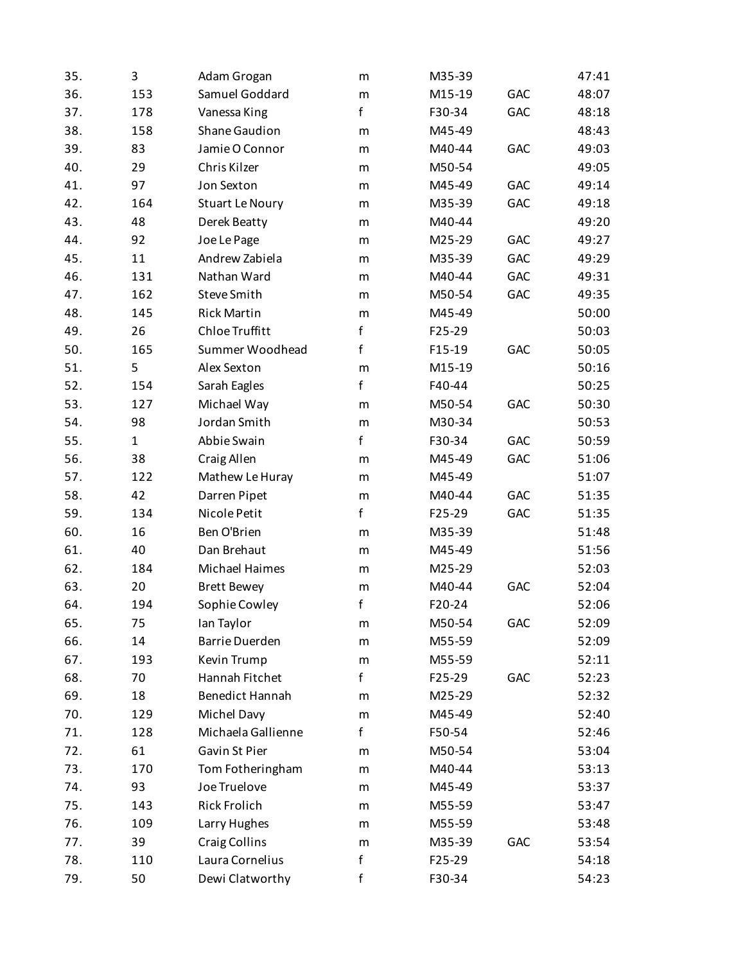| 35. | 3            | Adam Grogan            | m            | M35-39 |            | 47:41 |
|-----|--------------|------------------------|--------------|--------|------------|-------|
| 36. | 153          | Samuel Goddard         | m            | M15-19 | GAC        | 48:07 |
| 37. | 178          | Vanessa King           | $\mathbf{f}$ | F30-34 | <b>GAC</b> | 48:18 |
| 38. | 158          | Shane Gaudion          | m            | M45-49 |            | 48:43 |
| 39. | 83           | Jamie O Connor         | m            | M40-44 | GAC        | 49:03 |
| 40. | 29           | Chris Kilzer           | m            | M50-54 |            | 49:05 |
| 41. | 97           | Jon Sexton             | m            | M45-49 | GAC        | 49:14 |
| 42. | 164          | <b>Stuart Le Noury</b> | m            | M35-39 | GAC        | 49:18 |
| 43. | 48           | Derek Beatty           | m            | M40-44 |            | 49:20 |
| 44. | 92           | Joe Le Page            | m            | M25-29 | GAC        | 49:27 |
| 45. | 11           | Andrew Zabiela         | m            | M35-39 | GAC        | 49:29 |
| 46. | 131          | Nathan Ward            | m            | M40-44 | GAC        | 49:31 |
| 47. | 162          | Steve Smith            | m            | M50-54 | GAC        | 49:35 |
| 48. | 145          | <b>Rick Martin</b>     | m            | M45-49 |            | 50:00 |
| 49. | 26           | Chloe Truffitt         | f            | F25-29 |            | 50:03 |
| 50. | 165          | Summer Woodhead        | f            | F15-19 | GAC        | 50:05 |
| 51. | 5            | Alex Sexton            | m            | M15-19 |            | 50:16 |
| 52. | 154          | Sarah Eagles           | f            | F40-44 |            | 50:25 |
| 53. | 127          | Michael Way            | m            | M50-54 | GAC        | 50:30 |
| 54. | 98           | Jordan Smith           | m            | M30-34 |            | 50:53 |
| 55. | $\mathbf{1}$ | Abbie Swain            | $\mathsf{f}$ | F30-34 | GAC        | 50:59 |
| 56. | 38           | Craig Allen            | m            | M45-49 | GAC        | 51:06 |
| 57. | 122          | Mathew Le Huray        | m            | M45-49 |            | 51:07 |
| 58. | 42           | Darren Pipet           | m            | M40-44 | GAC        | 51:35 |
| 59. | 134          | Nicole Petit           | f            | F25-29 | GAC        | 51:35 |
| 60. | 16           | Ben O'Brien            | m            | M35-39 |            | 51:48 |
| 61. | 40           | Dan Brehaut            | m            | M45-49 |            | 51:56 |
| 62. | 184          | Michael Haimes         | m            | M25-29 |            | 52:03 |
| 63. | 20           | <b>Brett Bewey</b>     | m            | M40-44 | GAC        | 52:04 |
| 64. | 194          | Sophie Cowley          | f            | F20-24 |            | 52:06 |
| 65. | 75           | lan Taylor             | m            | M50-54 | GAC        | 52:09 |
| 66. | 14           | <b>Barrie Duerden</b>  | m            | M55-59 |            | 52:09 |
| 67. | 193          | Kevin Trump            | m            | M55-59 |            | 52:11 |
| 68. | 70           | Hannah Fitchet         | f            | F25-29 | <b>GAC</b> | 52:23 |
| 69. | 18           | <b>Benedict Hannah</b> | m            | M25-29 |            | 52:32 |
| 70. | 129          | Michel Davy            | m            | M45-49 |            | 52:40 |
| 71. | 128          | Michaela Gallienne     | f            | F50-54 |            | 52:46 |
| 72. | 61           | Gavin St Pier          | m            | M50-54 |            | 53:04 |
| 73. | 170          | Tom Fotheringham       | m            | M40-44 |            | 53:13 |
| 74. | 93           | Joe Truelove           | m            | M45-49 |            | 53:37 |
| 75. | 143          | <b>Rick Frolich</b>    | m            | M55-59 |            | 53:47 |
| 76. | 109          | Larry Hughes           | m            | M55-59 |            | 53:48 |
| 77. | 39           | <b>Craig Collins</b>   | m            | M35-39 | GAC        | 53:54 |
| 78. | 110          | Laura Cornelius        | f            | F25-29 |            | 54:18 |
| 79. | 50           | Dewi Clatworthy        | $\mathsf f$  | F30-34 |            | 54:23 |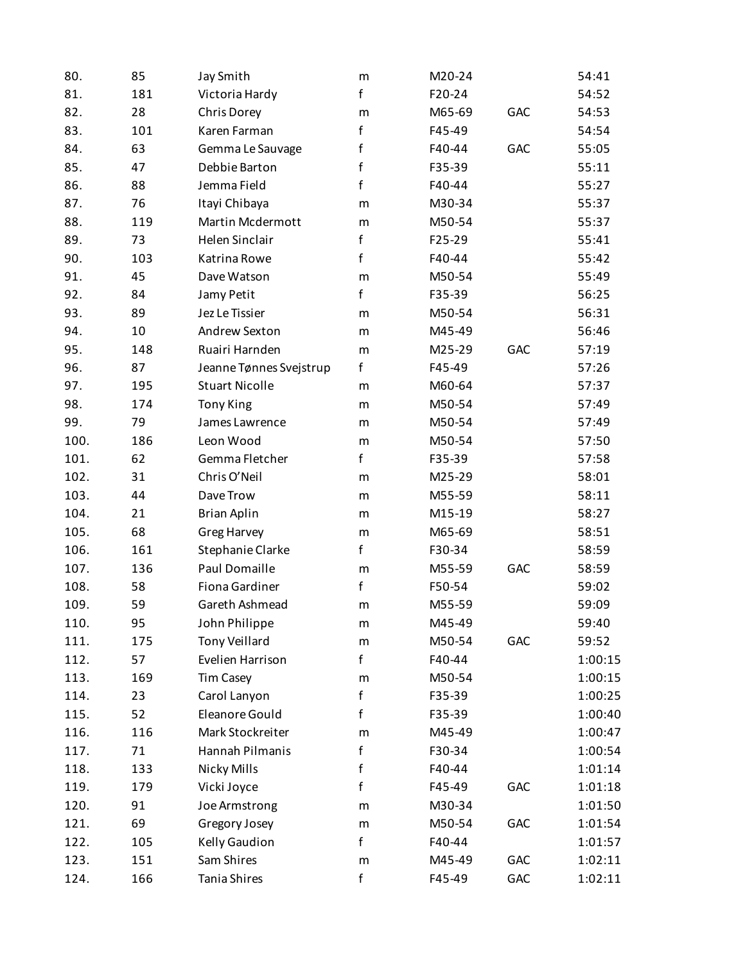| 80.  | 85  | Jay Smith               | m           | M20-24 |            | 54:41   |
|------|-----|-------------------------|-------------|--------|------------|---------|
| 81.  | 181 | Victoria Hardy          | f           | F20-24 |            | 54:52   |
| 82.  | 28  | Chris Dorey             | m           | M65-69 | GAC        | 54:53   |
| 83.  | 101 | Karen Farman            | f           | F45-49 |            | 54:54   |
| 84.  | 63  | Gemma Le Sauvage        | f           | F40-44 | <b>GAC</b> | 55:05   |
| 85.  | 47  | Debbie Barton           | $\mathsf f$ | F35-39 |            | 55:11   |
| 86.  | 88  | Jemma Field             | $\mathsf f$ | F40-44 |            | 55:27   |
| 87.  | 76  | Itayi Chibaya           | m           | M30-34 |            | 55:37   |
| 88.  | 119 | <b>Martin Mcdermott</b> | ${\sf m}$   | M50-54 |            | 55:37   |
| 89.  | 73  | Helen Sinclair          | f           | F25-29 |            | 55:41   |
| 90.  | 103 | Katrina Rowe            | $\mathsf f$ | F40-44 |            | 55:42   |
| 91.  | 45  | Dave Watson             | m           | M50-54 |            | 55:49   |
| 92.  | 84  | Jamy Petit              | f           | F35-39 |            | 56:25   |
| 93.  | 89  | Jez Le Tissier          | m           | M50-54 |            | 56:31   |
| 94.  | 10  | Andrew Sexton           | m           | M45-49 |            | 56:46   |
| 95.  | 148 | Ruairi Harnden          | ${\sf m}$   | M25-29 | GAC        | 57:19   |
| 96.  | 87  | Jeanne Tønnes Svejstrup | f           | F45-49 |            | 57:26   |
| 97.  | 195 | <b>Stuart Nicolle</b>   | m           | M60-64 |            | 57:37   |
| 98.  | 174 | <b>Tony King</b>        | m           | M50-54 |            | 57:49   |
| 99.  | 79  | James Lawrence          | m           | M50-54 |            | 57:49   |
| 100. | 186 | Leon Wood               | ${\sf m}$   | M50-54 |            | 57:50   |
| 101. | 62  | Gemma Fletcher          | f           | F35-39 |            | 57:58   |
| 102. | 31  | Chris O'Neil            | m           | M25-29 |            | 58:01   |
| 103. | 44  | Dave Trow               | m           | M55-59 |            | 58:11   |
| 104. | 21  | <b>Brian Aplin</b>      | m           | M15-19 |            | 58:27   |
| 105. | 68  | <b>Greg Harvey</b>      | m           | M65-69 |            | 58:51   |
| 106. | 161 | Stephanie Clarke        | f           | F30-34 |            | 58:59   |
| 107. | 136 | Paul Domaille           | ${\sf m}$   | M55-59 | GAC        | 58:59   |
| 108. | 58  | <b>Fiona Gardiner</b>   | f           | F50-54 |            | 59:02   |
| 109. | 59  | Gareth Ashmead          | m           | M55-59 |            | 59:09   |
| 110. | 95  | John Philippe           | m           | M45-49 |            | 59:40   |
| 111. | 175 | <b>Tony Veillard</b>    | m           | M50-54 | GAC        | 59:52   |
| 112. | 57  | Evelien Harrison        | f           | F40-44 |            | 1:00:15 |
| 113. | 169 | Tim Casey               | m           | M50-54 |            | 1:00:15 |
| 114. | 23  | Carol Lanyon            | f           | F35-39 |            | 1:00:25 |
| 115. | 52  | Eleanore Gould          | f           | F35-39 |            | 1:00:40 |
| 116. | 116 | Mark Stockreiter        | m           | M45-49 |            | 1:00:47 |
| 117. | 71  | Hannah Pilmanis         | f           | F30-34 |            | 1:00:54 |
| 118. | 133 | Nicky Mills             | $\mathsf f$ | F40-44 |            | 1:01:14 |
| 119. | 179 | Vicki Joyce             | f           | F45-49 | GAC        | 1:01:18 |
| 120. | 91  | Joe Armstrong           | m           | M30-34 |            | 1:01:50 |
| 121. | 69  | Gregory Josey           | ${\sf m}$   | M50-54 | GAC        | 1:01:54 |
| 122. | 105 | Kelly Gaudion           | f           | F40-44 |            | 1:01:57 |
| 123. | 151 | Sam Shires              | m           | M45-49 | GAC        | 1:02:11 |
| 124. | 166 | <b>Tania Shires</b>     | $\mathsf f$ | F45-49 | GAC        | 1:02:11 |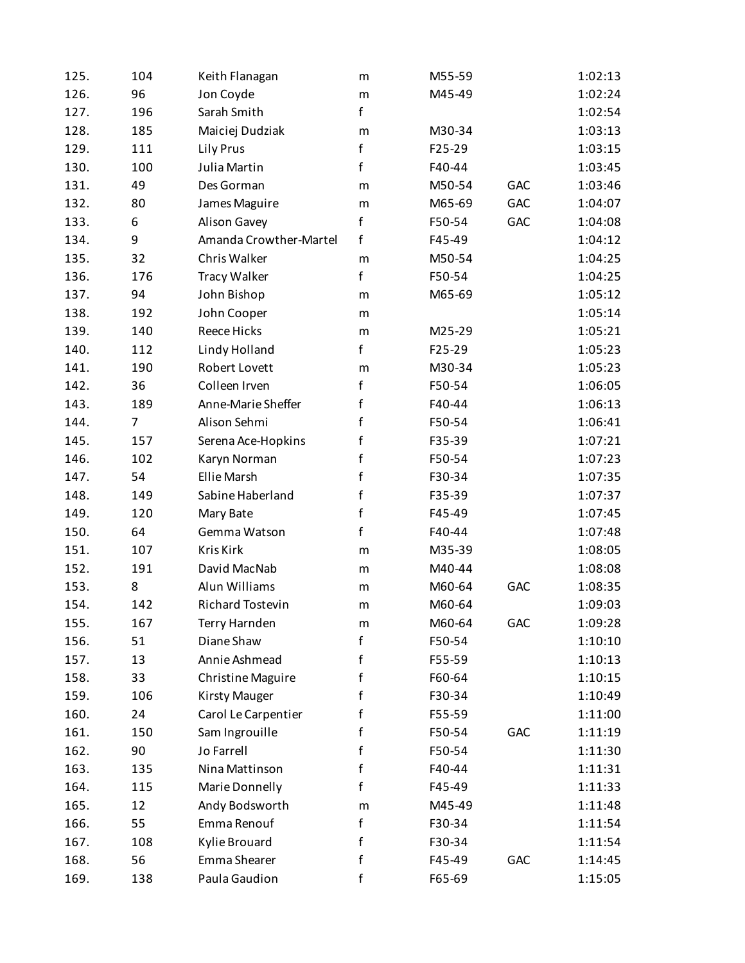| 125. | 104 | Keith Flanagan          | m            | M55-59 |            | 1:02:13 |
|------|-----|-------------------------|--------------|--------|------------|---------|
| 126. | 96  | Jon Coyde               | ${\sf m}$    | M45-49 |            | 1:02:24 |
| 127. | 196 | Sarah Smith             | f            |        |            | 1:02:54 |
| 128. | 185 | Maiciej Dudziak         | m            | M30-34 |            | 1:03:13 |
| 129. | 111 | <b>Lily Prus</b>        | $\mathbf f$  | F25-29 |            | 1:03:15 |
| 130. | 100 | Julia Martin            | f            | F40-44 |            | 1:03:45 |
| 131. | 49  | Des Gorman              | m            | M50-54 | <b>GAC</b> | 1:03:46 |
| 132. | 80  | James Maguire           | m            | M65-69 | <b>GAC</b> | 1:04:07 |
| 133. | 6   | Alison Gavey            | $\mathbf f$  | F50-54 | GAC        | 1:04:08 |
| 134. | 9   | Amanda Crowther-Martel  | f            | F45-49 |            | 1:04:12 |
| 135. | 32  | Chris Walker            | m            | M50-54 |            | 1:04:25 |
| 136. | 176 | <b>Tracy Walker</b>     | f            | F50-54 |            | 1:04:25 |
| 137. | 94  | John Bishop             | m            | M65-69 |            | 1:05:12 |
| 138. | 192 | John Cooper             | m            |        |            | 1:05:14 |
| 139. | 140 | <b>Reece Hicks</b>      | m            | M25-29 |            | 1:05:21 |
| 140. | 112 | Lindy Holland           | f            | F25-29 |            | 1:05:23 |
| 141. | 190 | Robert Lovett           | m            | M30-34 |            | 1:05:23 |
| 142. | 36  | Colleen Irven           | f            | F50-54 |            | 1:06:05 |
| 143. | 189 | Anne-Marie Sheffer      | $\mathsf f$  | F40-44 |            | 1:06:13 |
| 144. | 7   | Alison Sehmi            | $\mathsf f$  | F50-54 |            | 1:06:41 |
| 145. | 157 | Serena Ace-Hopkins      | $\mathsf f$  | F35-39 |            | 1:07:21 |
| 146. | 102 | Karyn Norman            | $\mathsf f$  | F50-54 |            | 1:07:23 |
| 147. | 54  | Ellie Marsh             | $\mathsf f$  | F30-34 |            | 1:07:35 |
| 148. | 149 | Sabine Haberland        | $\mathsf f$  | F35-39 |            | 1:07:37 |
| 149. | 120 | Mary Bate               | $\mathbf f$  | F45-49 |            | 1:07:45 |
| 150. | 64  | Gemma Watson            | f            | F40-44 |            | 1:07:48 |
| 151. | 107 | Kris Kirk               | m            | M35-39 |            | 1:08:05 |
| 152. | 191 | David MacNab            | m            | M40-44 |            | 1:08:08 |
| 153. | 8   | Alun Williams           | m            | M60-64 | <b>GAC</b> | 1:08:35 |
| 154. | 142 | <b>Richard Tostevin</b> | m            | M60-64 |            | 1:09:03 |
| 155. | 167 | Terry Harnden           | m            | M60-64 | GAC        | 1:09:28 |
| 156. | 51  | Diane Shaw              | f            | F50-54 |            | 1:10:10 |
| 157. | 13  | Annie Ashmead           | f            | F55-59 |            | 1:10:13 |
| 158. | 33  | Christine Maguire       | f            | F60-64 |            | 1:10:15 |
| 159. | 106 | <b>Kirsty Mauger</b>    | $\mathsf f$  | F30-34 |            | 1:10:49 |
| 160. | 24  | Carol Le Carpentier     | f            | F55-59 |            | 1:11:00 |
| 161. | 150 | Sam Ingrouille          | $\mathsf f$  | F50-54 | GAC        | 1:11:19 |
| 162. | 90  | Jo Farrell              | $\mathsf{f}$ | F50-54 |            | 1:11:30 |
| 163. | 135 | Nina Mattinson          | f            | F40-44 |            | 1:11:31 |
| 164. | 115 | Marie Donnelly          | f            | F45-49 |            | 1:11:33 |
| 165. | 12  | Andy Bodsworth          | m            | M45-49 |            | 1:11:48 |
| 166. | 55  | Emma Renouf             | f            | F30-34 |            | 1:11:54 |
| 167. | 108 | Kylie Brouard           | $\mathsf f$  | F30-34 |            | 1:11:54 |
| 168. | 56  | Emma Shearer            | f            | F45-49 | GAC        | 1:14:45 |
| 169. | 138 | Paula Gaudion           | f            | F65-69 |            | 1:15:05 |